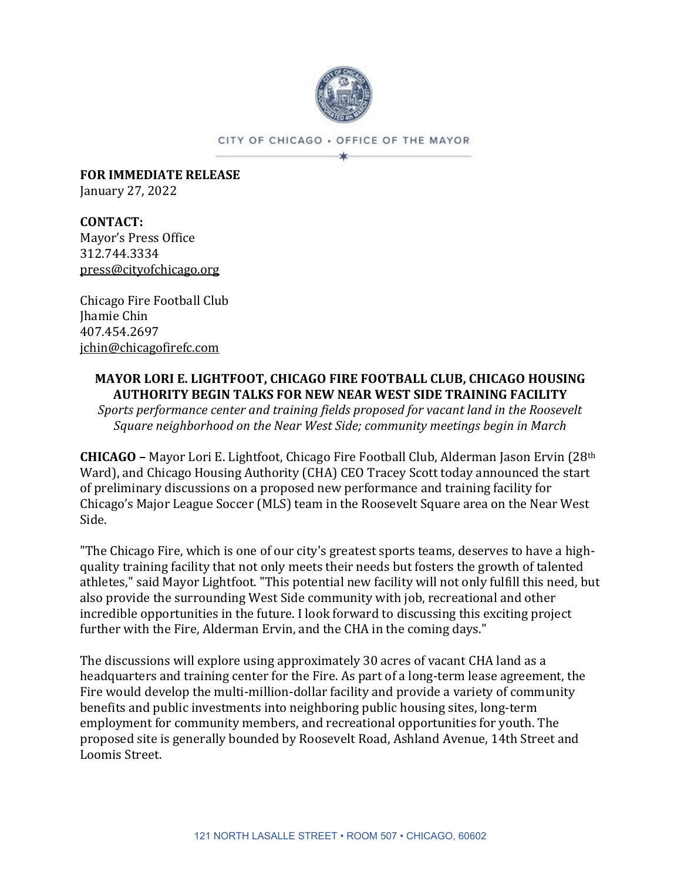

CITY OF CHICAGO . OFFICE OF THE MAYOR 冰

**FOR IMMEDIATE RELEASE** January 27, 2022

**CONTACT:** Mayor's Press Office 312.744.3334 [press@cityofchicago.org](mailto:press@cityofchicago.org)

Chicago Fire Football Club Jhamie Chin 407.454.2697 [jchin@chicagofirefc.com](mailto:jchin@chicagofirefc.com)

## **MAYOR LORI E. LIGHTFOOT, CHICAGO FIRE FOOTBALL CLUB, CHICAGO HOUSING AUTHORITY BEGIN TALKS FOR NEW NEAR WEST SIDE TRAINING FACILITY**

*Sports performance center and training fields proposed for vacant land in the Roosevelt Square neighborhood on the Near West Side; community meetings begin in March*

**CHICAGO –** Mayor Lori E. Lightfoot, Chicago Fire Football Club, Alderman Jason Ervin (28th Ward), and Chicago Housing Authority (CHA) CEO Tracey Scott today announced the start of preliminary discussions on a proposed new performance and training facility for Chicago's Major League Soccer (MLS) team in the Roosevelt Square area on the Near West Side.

"The Chicago Fire, which is one of our city's greatest sports teams, deserves to have a highquality training facility that not only meets their needs but fosters the growth of talented athletes," said Mayor Lightfoot. "This potential new facility will not only fulfill this need, but also provide the surrounding West Side community with job, recreational and other incredible opportunities in the future. I look forward to discussing this exciting project further with the Fire, Alderman Ervin, and the CHA in the coming days."

The discussions will explore using approximately 30 acres of vacant CHA land as a headquarters and training center for the Fire. As part of a long-term lease agreement, the Fire would develop the multi-million-dollar facility and provide a variety of community benefits and public investments into neighboring public housing sites, long-term employment for community members, and recreational opportunities for youth. The proposed site is generally bounded by Roosevelt Road, Ashland Avenue, 14th Street and Loomis Street.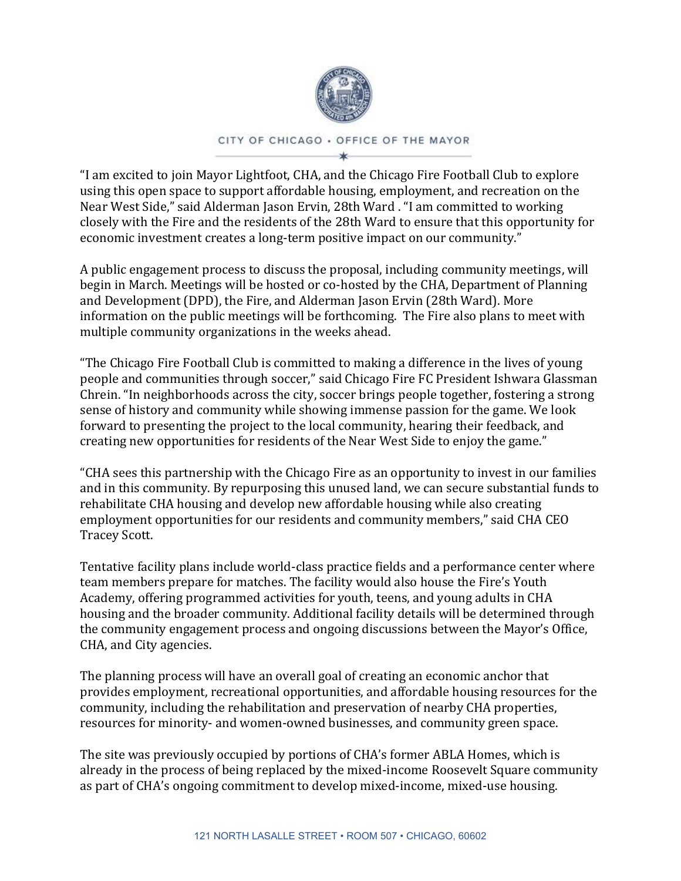

## CITY OF CHICAGO . OFFICE OF THE MAYOR

"I am excited to join Mayor Lightfoot, CHA, and the Chicago Fire Football Club to explore using this open space to support affordable housing, employment, and recreation on the Near West Side," said Alderman Jason Ervin, 28th Ward . "I am committed to working closely with the Fire and the residents of the 28th Ward to ensure that this opportunity for economic investment creates a long-term positive impact on our community."

A public engagement process to discuss the proposal, including community meetings, will begin in March. Meetings will be hosted or co-hosted by the CHA, Department of Planning and Development (DPD), the Fire, and Alderman Jason Ervin (28th Ward). More information on the public meetings will be forthcoming. The Fire also plans to meet with multiple community organizations in the weeks ahead.

"The Chicago Fire Football Club is committed to making a difference in the lives of young people and communities through soccer," said Chicago Fire FC President Ishwara Glassman Chrein. "In neighborhoods across the city, soccer brings people together, fostering a strong sense of history and community while showing immense passion for the game. We look forward to presenting the project to the local community, hearing their feedback, and creating new opportunities for residents of the Near West Side to enjoy the game."

"CHA sees this partnership with the Chicago Fire as an opportunity to invest in our families and in this community. By repurposing this unused land, we can secure substantial funds to rehabilitate CHA housing and develop new affordable housing while also creating employment opportunities for our residents and community members," said CHA CEO Tracey Scott.

Tentative facility plans include world-class practice fields and a performance center where team members prepare for matches. The facility would also house the Fire's Youth Academy, offering programmed activities for youth, teens, and young adults in CHA housing and the broader community. Additional facility details will be determined through the community engagement process and ongoing discussions between the Mayor's Office, CHA, and City agencies.

The planning process will have an overall goal of creating an economic anchor that provides employment, recreational opportunities, and affordable housing resources for the community, including the rehabilitation and preservation of nearby CHA properties, resources for minority- and women-owned businesses, and community green space.

The site was previously occupied by portions of CHA's former ABLA Homes, which is already in the process of being replaced by the mixed-income Roosevelt Square community as part of CHA's ongoing commitment to develop mixed-income, mixed-use housing.